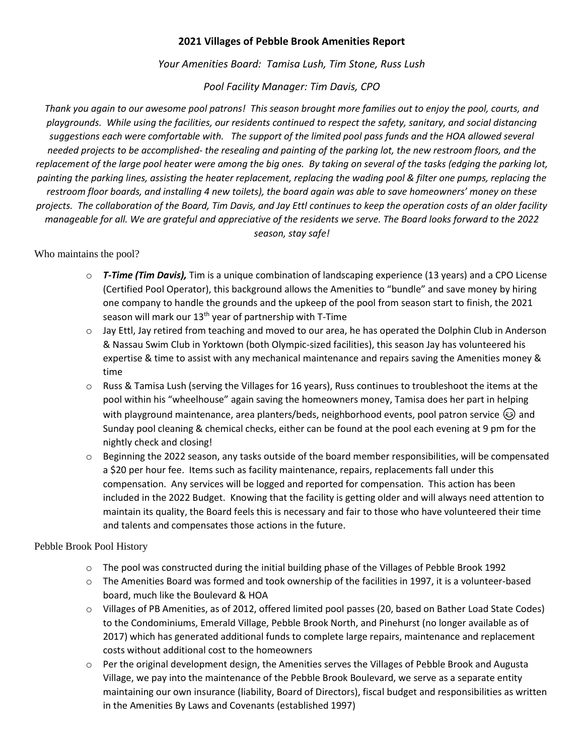# **2021 Villages of Pebble Brook Amenities Report**

*Your Amenities Board: Tamisa Lush, Tim Stone, Russ Lush*

# *Pool Facility Manager: Tim Davis, CPO*

*Thank you again to our awesome pool patrons! This season brought more families out to enjoy the pool, courts, and playgrounds. While using the facilities, our residents continued to respect the safety, sanitary, and social distancing suggestions each were comfortable with. The support of the limited pool pass funds and the HOA allowed several needed projects to be accomplished- the resealing and painting of the parking lot, the new restroom floors, and the replacement of the large pool heater were among the big ones. By taking on several of the tasks (edging the parking lot, painting the parking lines, assisting the heater replacement, replacing the wading pool & filter one pumps, replacing the restroom floor boards, and installing 4 new toilets), the board again was able to save homeowners' money on these projects. The collaboration of the Board, Tim Davis, and Jay Ettl continues to keep the operation costs of an older facility manageable for all. We are grateful and appreciative of the residents we serve. The Board looks forward to the 2022 season, stay safe!* 

### Who maintains the pool?

- o *T-Time (Tim Davis),* Tim is a unique combination of landscaping experience (13 years) and a CPO License (Certified Pool Operator), this background allows the Amenities to "bundle" and save money by hiring one company to handle the grounds and the upkeep of the pool from season start to finish, the 2021 season will mark our 13<sup>th</sup> year of partnership with T-Time
- o Jay Ettl, Jay retired from teaching and moved to our area, he has operated the Dolphin Club in Anderson & Nassau Swim Club in Yorktown (both Olympic-sized facilities), this season Jay has volunteered his expertise & time to assist with any mechanical maintenance and repairs saving the Amenities money & time
- $\circ$  Russ & Tamisa Lush (serving the Villages for 16 years), Russ continues to troubleshoot the items at the pool within his "wheelhouse" again saving the homeowners money, Tamisa does her part in helping with playground maintenance, area planters/beds, neighborhood events, pool patron service  $\circledast$  and Sunday pool cleaning & chemical checks, either can be found at the pool each evening at 9 pm for the nightly check and closing!
- o Beginning the 2022 season, any tasks outside of the board member responsibilities, will be compensated a \$20 per hour fee. Items such as facility maintenance, repairs, replacements fall under this compensation. Any services will be logged and reported for compensation. This action has been included in the 2022 Budget. Knowing that the facility is getting older and will always need attention to maintain its quality, the Board feels this is necessary and fair to those who have volunteered their time and talents and compensates those actions in the future.

# Pebble Brook Pool History

- o The pool was constructed during the initial building phase of the Villages of Pebble Brook 1992
- o The Amenities Board was formed and took ownership of the facilities in 1997, it is a volunteer-based board, much like the Boulevard & HOA
- o Villages of PB Amenities, as of 2012, offered limited pool passes (20, based on Bather Load State Codes) to the Condominiums, Emerald Village, Pebble Brook North, and Pinehurst (no longer available as of 2017) which has generated additional funds to complete large repairs, maintenance and replacement costs without additional cost to the homeowners
- $\circ$  Per the original development design, the Amenities serves the Villages of Pebble Brook and Augusta Village, we pay into the maintenance of the Pebble Brook Boulevard, we serve as a separate entity maintaining our own insurance (liability, Board of Directors), fiscal budget and responsibilities as written in the Amenities By Laws and Covenants (established 1997)